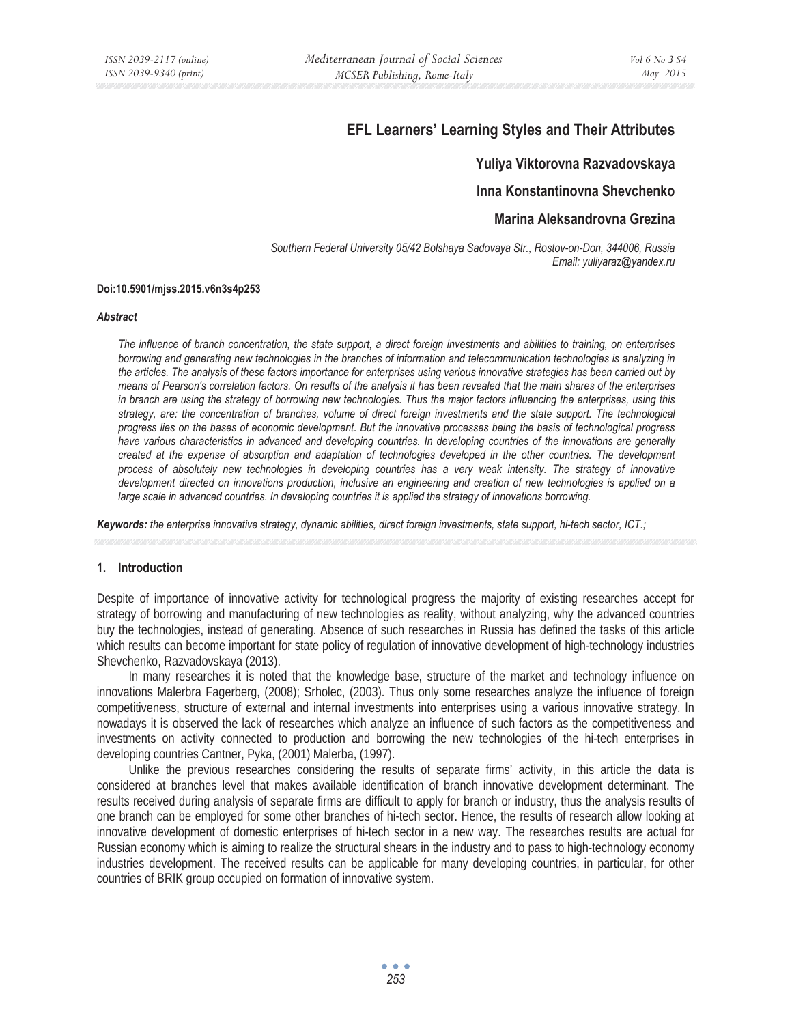# **EFL Learners' Learning Styles and Their Attributes**

## **Yuliya Viktorovna Razvadovskaya**

## **Inna Konstantinovna Shevchenko**

## **Marina Aleksandrovna Grezina**

*Southern Federal University 05/42 Bolshaya Sadovaya Str., Rostov-on-Don, 344006, Russia Email: yuliyaraz@yandex.ru* 

#### **Doi:10.5901/mjss.2015.v6n3s4p253**

#### *Abstract*

*The influence of branch concentration, the state support, a direct foreign investments and abilities to training, on enterprises borrowing and generating new technologies in the branches of information and telecommunication technologies is analyzing in the articles. The analysis of these factors importance for enterprises using various innovative strategies has been carried out by means of Pearson's correlation factors. On results of the analysis it has been revealed that the main shares of the enterprises in branch are using the strategy of borrowing new technologies. Thus the major factors influencing the enterprises, using this strategy, are: the concentration of branches, volume of direct foreign investments and the state support. The technological progress lies on the bases of economic development. But the innovative processes being the basis of technological progress have various characteristics in advanced and developing countries. In developing countries of the innovations are generally created at the expense of absorption and adaptation of technologies developed in the other countries. The development process of absolutely new technologies in developing countries has a very weak intensity. The strategy of innovative development directed on innovations production, inclusive an engineering and creation of new technologies is applied on a large scale in advanced countries. In developing countries it is applied the strategy of innovations borrowing.* 

*Keywords: the enterprise innovative strategy, dynamic abilities, direct foreign investments, state support, hi-tech sector, ICT.;*

#### **1. Introduction**

Despite of importance of innovative activity for technological progress the majority of existing researches accept for strategy of borrowing and manufacturing of new technologies as reality, without analyzing, why the advanced countries buy the technologies, instead of generating. Absence of such researches in Russia has defined the tasks of this article which results can become important for state policy of regulation of innovative development of high-technology industries Shevchenko, Razvadovskaya (2013).

In many researches it is noted that the knowledge base, structure of the market and technology influence on innovations Malerbra Fagerberg, (2008); Srholec, (2003). Thus only some researches analyze the influence of foreign competitiveness, structure of external and internal investments into enterprises using a various innovative strategy. In nowadays it is observed the lack of researches which analyze an influence of such factors as the competitiveness and investments on activity connected to production and borrowing the new technologies of the hi-tech enterprises in developing countries Cantner, Pyka, (2001) Malerba, (1997).

Unlike the previous researches considering the results of separate firms' activity, in this article the data is considered at branches level that makes available identification of branch innovative development determinant. The results received during analysis of separate firms are difficult to apply for branch or industry, thus the analysis results of one branch can be employed for some other branches of hi-tech sector. Hence, the results of research allow looking at innovative development of domestic enterprises of hi-tech sector in a new way. The researches results are actual for Russian economy which is aiming to realize the structural shears in the industry and to pass to high-technology economy industries development. The received results can be applicable for many developing countries, in particular, for other countries of BRIK group occupied on formation of innovative system.

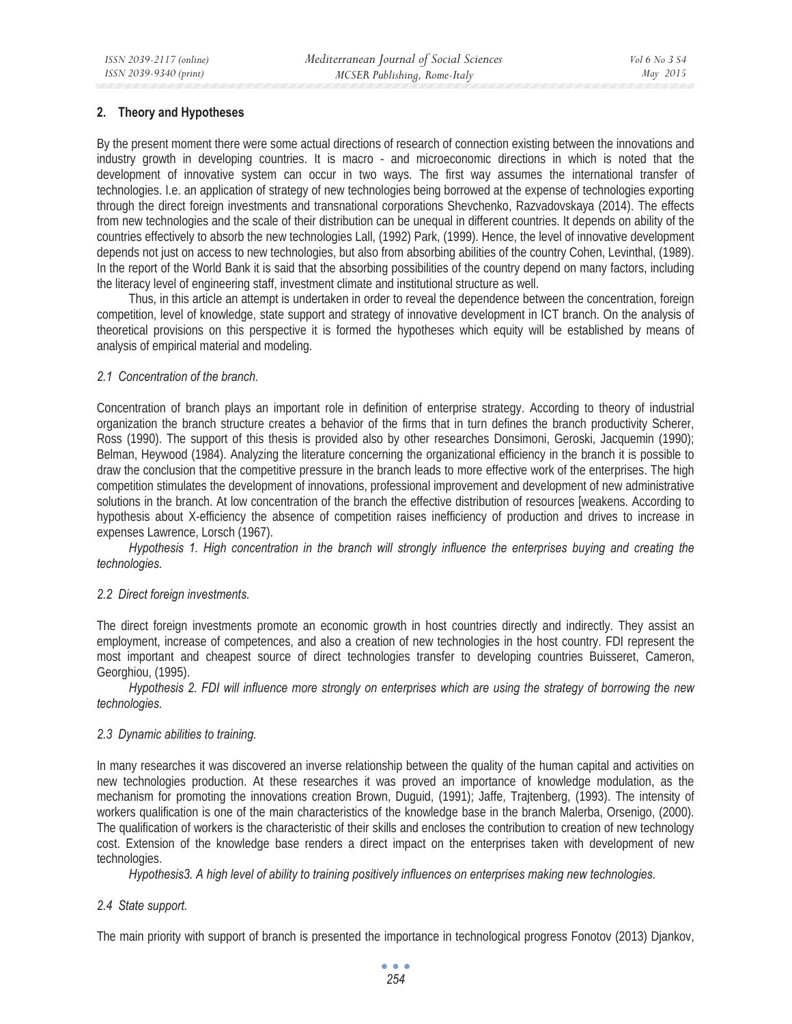## **2. Theory and Hypotheses**

By the present moment there were some actual directions of research of connection existing between the innovations and industry growth in developing countries. It is macro - and microeconomic directions in which is noted that the development of innovative system can occur in two ways. The first way assumes the international transfer of technologies. I.e. an application of strategy of new technologies being borrowed at the expense of technologies exporting through the direct foreign investments and transnational corporations Shevchenko, Razvadovskaya (2014). The effects from new technologies and the scale of their distribution can be unequal in different countries. It depends on ability of the countries effectively to absorb the new technologies Lall, (1992) Park, (1999). Hence, the level of innovative development depends not just on access to new technologies, but also from absorbing abilities of the country Cohen, Levinthal, (1989). In the report of the World Bank it is said that the absorbing possibilities of the country depend on many factors, including the literacy level of engineering staff, investment climate and institutional structure as well.

Thus, in this article an attempt is undertaken in order to reveal the dependence between the concentration, foreign competition, level of knowledge, state support and strategy of innovative development in ICT branch. On the analysis of theoretical provisions on this perspective it is formed the hypotheses which equity will be established by means of analysis of empirical material and modeling.

## *2.1 Concentration of the branch.*

Concentration of branch plays an important role in definition of enterprise strategy. According to theory of industrial organization the branch structure creates a behavior of the firms that in turn defines the branch productivity Scherer, Ross (1990). The support of this thesis is provided also by other researches Donsimoni, Geroski, Jacquemin (1990); Belman, Heywood (1984). Analyzing the literature concerning the organizational efficiency in the branch it is possible to draw the conclusion that the competitive pressure in the branch leads to more effective work of the enterprises. The high competition stimulates the development of innovations, professional improvement and development of new administrative solutions in the branch. At low concentration of the branch the effective distribution of resources [weakens. According to hypothesis about X-efficiency the absence of competition raises inefficiency of production and drives to increase in expenses Lawrence, Lorsch (1967).

*Hypothesis 1. High concentration in the branch will strongly influence the enterprises buying and creating the technologies.* 

## *2.2 Direct foreign investments.*

The direct foreign investments promote an economic growth in host countries directly and indirectly. They assist an employment, increase of competences, and also a creation of new technologies in the host country. FDI represent the most important and cheapest source of direct technologies transfer to developing countries Buisseret, Cameron, Georghiou, (1995).

*Hypothesis 2. FDI will influence more strongly on enterprises which are using the strategy of borrowing the new technologies.* 

## *2.3 Dynamic abilities to training.*

In many researches it was discovered an inverse relationship between the quality of the human capital and activities on new technologies production. At these researches it was proved an importance of knowledge modulation, as the mechanism for promoting the innovations creation Brown, Duguid, (1991); Jaffe, Trajtenberg, (1993). The intensity of workers qualification is one of the main characteristics of the knowledge base in the branch Malerba, Orsenigo, (2000). The qualification of workers is the characteristic of their skills and encloses the contribution to creation of new technology cost. Extension of the knowledge base renders a direct impact on the enterprises taken with development of new technologies.

*Hypothesis3. A high level of ability to training positively influences on enterprises making new technologies.* 

## *2.4 State support.*

The main priority with support of branch is presented the importance in technological progress Fonotov (2013) Djankov,

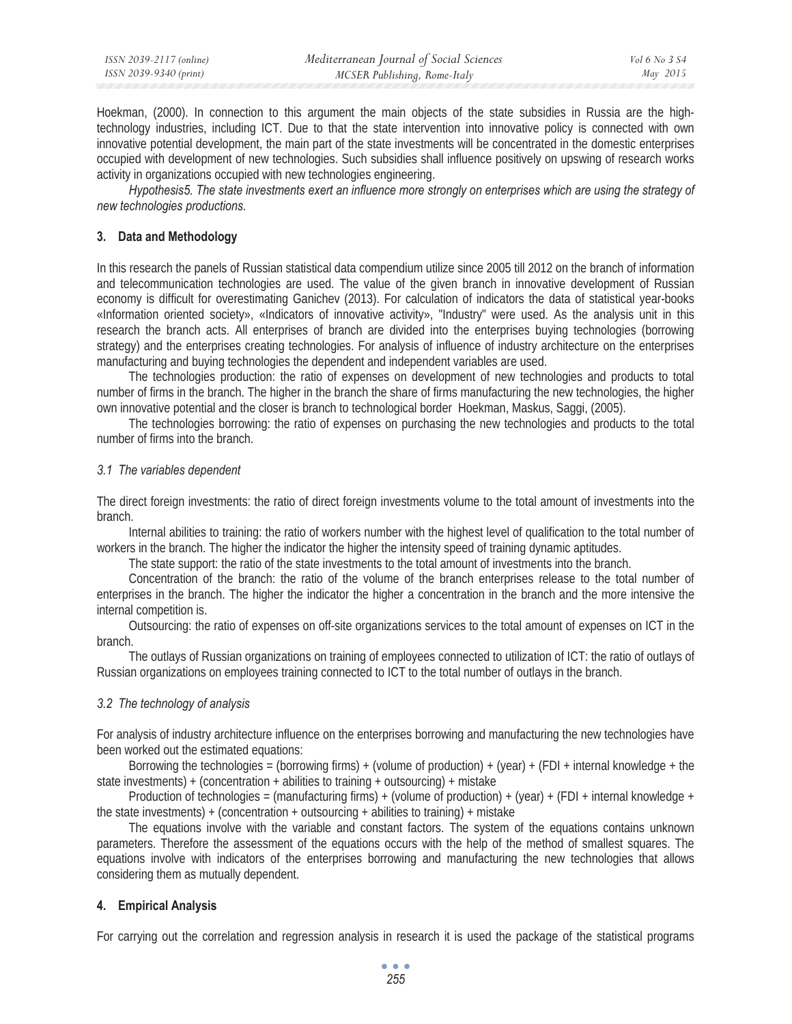| ISSN 2039-2117 (online) | Mediterranean Journal of Social Sciences | Vol 6 No 3 S4 |
|-------------------------|------------------------------------------|---------------|
| ISSN 2039-9340 (print)  | MCSER Publishing, Rome-Italy             | May 2015      |

Hoekman, (2000). In connection to this argument the main objects of the state subsidies in Russia are the hightechnology industries, including ICT. Due to that the state intervention into innovative policy is connected with own innovative potential development, the main part of the state investments will be concentrated in the domestic enterprises occupied with development of new technologies. Such subsidies shall influence positively on upswing of research works activity in organizations occupied with new technologies engineering.

*Hypothesis5. The state investments exert an influence more strongly on enterprises which are using the strategy of new technologies productions.* 

### **3. Data and Methodology**

In this research the panels of Russian statistical data compendium utilize since 2005 till 2012 on the branch of information and telecommunication technologies are used. The value of the given branch in innovative development of Russian economy is difficult for overestimating Ganichev (2013). For calculation of indicators the data of statistical year-books «Information oriented society», «Indicators of innovative activity», "Industry" were used. As the analysis unit in this research the branch acts. All enterprises of branch are divided into the enterprises buying technologies (borrowing strategy) and the enterprises creating technologies. For analysis of influence of industry architecture on the enterprises manufacturing and buying technologies the dependent and independent variables are used.

The technologies production: the ratio of expenses on development of new technologies and products to total number of firms in the branch. The higher in the branch the share of firms manufacturing the new technologies, the higher own innovative potential and the closer is branch to technological border Hoekman, Maskus, Saggi, (2005).

The technologies borrowing: the ratio of expenses on purchasing the new technologies and products to the total number of firms into the branch.

#### *3.1 The variables dependent*

The direct foreign investments: the ratio of direct foreign investments volume to the total amount of investments into the branch.

Internal abilities to training: the ratio of workers number with the highest level of qualification to the total number of workers in the branch. The higher the indicator the higher the intensity speed of training dynamic aptitudes.

The state support: the ratio of the state investments to the total amount of investments into the branch.

Concentration of the branch: the ratio of the volume of the branch enterprises release to the total number of enterprises in the branch. The higher the indicator the higher a concentration in the branch and the more intensive the internal competition is.

Outsourcing: the ratio of expenses on off-site organizations services to the total amount of expenses on ICT in the branch.

The outlays of Russian organizations on training of employees connected to utilization of ICT: the ratio of outlays of Russian organizations on employees training connected to ICT to the total number of outlays in the branch.

## *3.2 The technology of analysis*

For analysis of industry architecture influence on the enterprises borrowing and manufacturing the new technologies have been worked out the estimated equations:

Borrowing the technologies = (borrowing firms) + (volume of production) + (year) + (FDI + internal knowledge + the state investments) + (concentration + abilities to training + outsourcing) + mistake

Production of technologies = (manufacturing firms) + (volume of production) + (year) + (FDI + internal knowledge + the state investments) + (concentration + outsourcing + abilities to training) + mistake

The equations involve with the variable and constant factors. The system of the equations contains unknown parameters. Therefore the assessment of the equations occurs with the help of the method of smallest squares. The equations involve with indicators of the enterprises borrowing and manufacturing the new technologies that allows considering them as mutually dependent.

## **4. Empirical Analysis**

For carrying out the correlation and regression analysis in research it is used the package of the statistical programs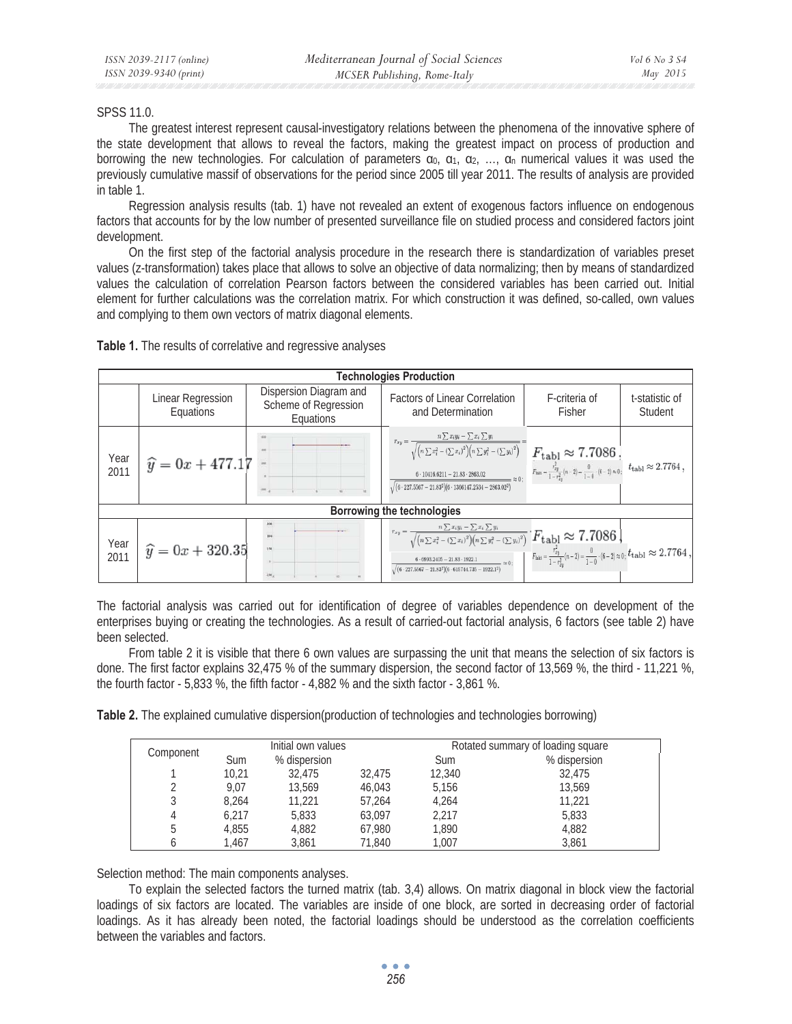SPSS 11.0.

The greatest interest represent causal-investigatory relations between the phenomena of the innovative sphere of the state development that allows to reveal the factors, making the greatest impact on process of production and borrowing the new technologies. For calculation of parameters  $\alpha_0$ ,  $\alpha_1$ ,  $\alpha_2$ , ...,  $\alpha_n$  numerical values it was used the previously cumulative massif of observations for the period since 2005 till year 2011. The results of analysis are provided in table 1.

Regression analysis results (tab. 1) have not revealed an extent of exogenous factors influence on endogenous factors that accounts for by the low number of presented surveillance file on studied process and considered factors joint development.

On the first step of the factorial analysis procedure in the research there is standardization of variables preset values (z-transformation) takes place that allows to solve an objective of data normalizing; then by means of standardized values the calculation of correlation Pearson factors between the considered variables has been carried out. Initial element for further calculations was the correlation matrix. For which construction it was defined, so-called, own values and complying to them own vectors of matrix diagonal elements.

**Table 1.** The results of correlative and regressive analyses

|              |                                |                                                             | <b>Technologies Production</b>                                                                                                                                                                                                                                                                                                                                                                                                |                                                                                                                                                                                                       |                           |
|--------------|--------------------------------|-------------------------------------------------------------|-------------------------------------------------------------------------------------------------------------------------------------------------------------------------------------------------------------------------------------------------------------------------------------------------------------------------------------------------------------------------------------------------------------------------------|-------------------------------------------------------------------------------------------------------------------------------------------------------------------------------------------------------|---------------------------|
|              | Linear Regression<br>Equations | Dispersion Diagram and<br>Scheme of Regression<br>Equations | <b>Factors of Linear Correlation</b><br>and Determination                                                                                                                                                                                                                                                                                                                                                                     | F-criteria of<br>Fisher                                                                                                                                                                               | t-statistic of<br>Student |
| Year<br>2011 | $\hat{y} = 0x + 477.17$        |                                                             | $r_{xy}=\frac{n\sum x_iy_i-\sum x_i\sum y_i}{\sqrt{\Big(n\sum x_i^2-\big(\sum x_i\big)^2\Big)\Big(n\sum y_i^2-\big(\sum y_i\big)^2\Big)}}=$<br>$6 \cdot 10416.6211 - 21.83 \cdot 2863.02 \hspace{20pt} \approx 0 \, ;$<br>$\sqrt{(6\cdot 227.5567 - 21.83^2)(6\cdot 1366147.2534 - 2863.02^2)}$                                                                                                                               | $F_{\rm{tabl}} \approx 7.7086 \ , \nonumber \ \Gamma_{\rm{fau}} = \frac{r_{2g}^2}{1-r_{\rm{r1}}^2} (n-2) = \frac{0}{1-0} \cdot (6-2) \approx 0 \, ; \quad t_{\rm{tabl}} \approx 2.7764 \ , \nonumber$ |                           |
|              |                                |                                                             | <b>Borrowing the technologies</b>                                                                                                                                                                                                                                                                                                                                                                                             |                                                                                                                                                                                                       |                           |
| Year<br>2011 | $\hat{y} = 0x + 320.35$        | 250<br>150<br>154                                           | $\boxed{ \begin{aligned} r_{xy} = \frac{n \sum x_i y_i - \sum x_i \sum y_i}{\sqrt{(n \sum x_i^2 - (\sum x_i)^2)(n \sum y_i^2 - (\sum y_i)^2)}} \cdot \mathbf{F}_{\mathbf{tabl}} \approx 7.7086 \; , \\ \frac{r_{xy}^2}{6 \cdot 6993.2405 - 21.83 \cdot 1922.1} \quad \  \, \text{and} \; \\ \text{where} \; r_{xy} = \frac{r_{xy}^2}{1 - r_{xy}^2} (n-2) = \frac{0}{1 - 0} \cdot (6 - 2) \approx 0 \, ; \; t_{\mathbf{tabl}}$ |                                                                                                                                                                                                       |                           |

The factorial analysis was carried out for identification of degree of variables dependence on development of the enterprises buying or creating the technologies. As a result of carried-out factorial analysis, 6 factors (see table 2) have been selected.

From table 2 it is visible that there 6 own values are surpassing the unit that means the selection of six factors is done. The first factor explains 32,475 % of the summary dispersion, the second factor of 13,569 %, the third - 11,221 %, the fourth factor - 5,833 %, the fifth factor - 4,882 % and the sixth factor - 3,861 %.

**Table 2.** The explained cumulative dispersion(production of technologies and technologies borrowing)

| Component |       | Initial own values | Rotated summary of loading square |        |              |
|-----------|-------|--------------------|-----------------------------------|--------|--------------|
|           | Sum   | % dispersion       |                                   | Sum    | % dispersion |
|           | 10.21 | 32.475             | 32,475                            | 12,340 | 32.475       |
|           | 9.07  | 13.569             | 46,043                            | 5,156  | 13.569       |
|           | 8.264 | 11,221             | 57,264                            | 4,264  | 11,221       |
|           | 6.217 | 5,833              | 63.097                            | 2.217  | 5,833        |
| b         | 4.855 | 4.882              | 67.980                            | 1,890  | 4,882        |
|           | 1.467 | 3.861              | 71.840                            | 1,007  | 3,861        |

Selection method: The main components analyses.

To explain the selected factors the turned matrix (tab. 3,4) allows. On matrix diagonal in block view the factorial loadings of six factors are located. The variables are inside of one block, are sorted in decreasing order of factorial loadings. As it has already been noted, the factorial loadings should be understood as the correlation coefficients between the variables and factors.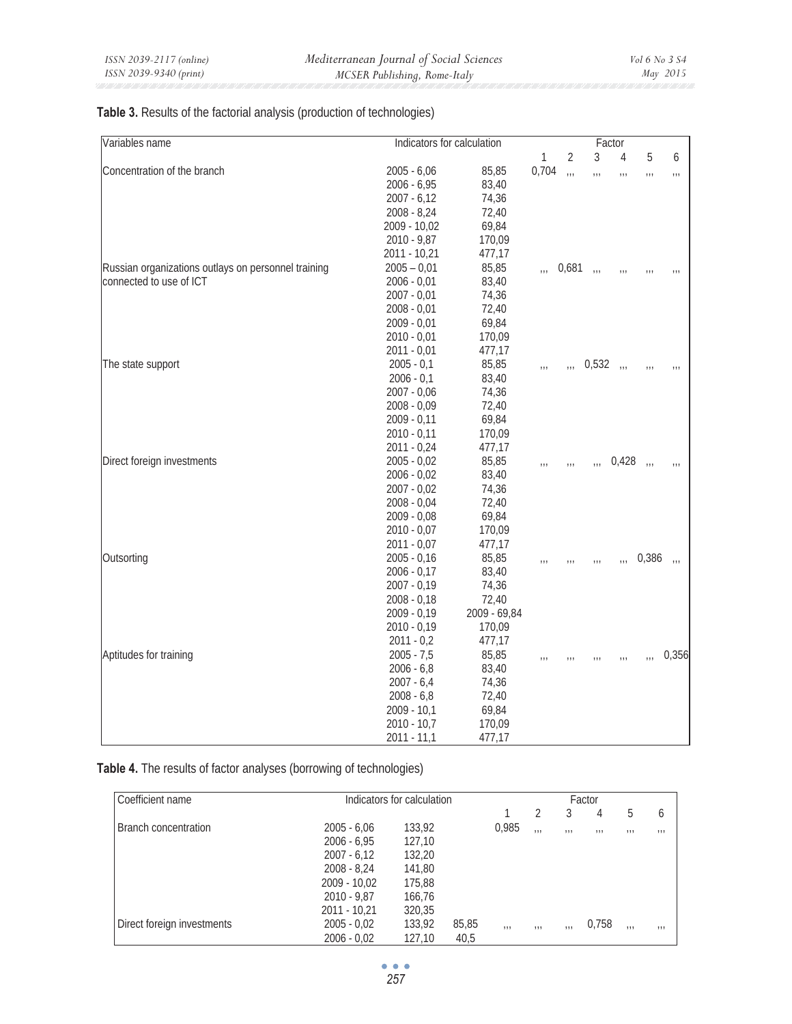## **Table 3.** Results of the factorial analysis (production of technologies)

| Variables name                                      |               | Indicators for calculation |              |                  | Factor                   |               |                       |                        |  |  |
|-----------------------------------------------------|---------------|----------------------------|--------------|------------------|--------------------------|---------------|-----------------------|------------------------|--|--|
|                                                     |               |                            | $\mathbf{1}$ | $\overline{2}$   | 3                        | 4             | 5                     | 6                      |  |  |
| Concentration of the branch                         | $2005 - 6,06$ | 85,85                      | 0,704        | $\overline{111}$ | $\frac{1}{2}$            | $\frac{1}{2}$ | $\iota\,\iota\,\iota$ | $\cdots$               |  |  |
|                                                     | $2006 - 6,95$ | 83,40                      |              |                  |                          |               |                       |                        |  |  |
|                                                     | $2007 - 6,12$ | 74,36                      |              |                  |                          |               |                       |                        |  |  |
|                                                     | $2008 - 8,24$ | 72,40                      |              |                  |                          |               |                       |                        |  |  |
|                                                     | 2009 - 10,02  | 69,84                      |              |                  |                          |               |                       |                        |  |  |
|                                                     | $2010 - 9,87$ | 170,09                     |              |                  |                          |               |                       |                        |  |  |
|                                                     | 2011 - 10,21  | 477,17                     |              |                  |                          |               |                       |                        |  |  |
| Russian organizations outlays on personnel training | $2005 - 0,01$ | 85,85                      |              | 0,681            | $\overline{\phantom{a}}$ | $\cdots$      | 111                   | $\bar{t}$ is $\bar{t}$ |  |  |
| connected to use of ICT                             | $2006 - 0,01$ | 83,40                      |              |                  |                          |               |                       |                        |  |  |
|                                                     | $2007 - 0,01$ | 74,36                      |              |                  |                          |               |                       |                        |  |  |
|                                                     | $2008 - 0,01$ | 72,40                      |              |                  |                          |               |                       |                        |  |  |
|                                                     | $2009 - 0,01$ | 69,84                      |              |                  |                          |               |                       |                        |  |  |
|                                                     | $2010 - 0,01$ | 170,09                     |              |                  |                          |               |                       |                        |  |  |
|                                                     | $2011 - 0.01$ | 477,17                     |              |                  |                          |               |                       |                        |  |  |
| The state support                                   | $2005 - 0,1$  | 85,85                      | $\cdots$     | $\overline{111}$ | $0,532$                  |               | $\cdots$              | 111                    |  |  |
|                                                     | $2006 - 0,1$  | 83,40                      |              |                  |                          |               |                       |                        |  |  |
|                                                     | $2007 - 0,06$ | 74,36                      |              |                  |                          |               |                       |                        |  |  |
|                                                     | $2008 - 0,09$ | 72,40                      |              |                  |                          |               |                       |                        |  |  |
|                                                     | $2009 - 0,11$ | 69,84                      |              |                  |                          |               |                       |                        |  |  |
|                                                     | $2010 - 0,11$ | 170,09                     |              |                  |                          |               |                       |                        |  |  |
|                                                     | $2011 - 0,24$ | 477,17                     |              |                  |                          |               |                       |                        |  |  |
| Direct foreign investments                          | $2005 - 0.02$ | 85,85                      | $\cdots$     | $\cdots$         | $\overline{111}$         | 0,428         | $\bar{m}$             | $\cdots$               |  |  |
|                                                     | $2006 - 0,02$ | 83,40                      |              |                  |                          |               |                       |                        |  |  |
|                                                     | $2007 - 0.02$ | 74,36                      |              |                  |                          |               |                       |                        |  |  |
|                                                     | $2008 - 0,04$ | 72,40                      |              |                  |                          |               |                       |                        |  |  |
|                                                     | $2009 - 0.08$ | 69,84                      |              |                  |                          |               |                       |                        |  |  |
|                                                     | $2010 - 0,07$ | 170,09                     |              |                  |                          |               |                       |                        |  |  |
|                                                     | $2011 - 0,07$ | 477,17                     |              |                  |                          |               |                       |                        |  |  |
| Outsorting                                          | $2005 - 0,16$ | 85,85                      | $\cdots$     | $\cdots$         | $\cdots$                 | $\mathbf{u}$  | 0,386                 | $\overline{111}$       |  |  |
|                                                     | $2006 - 0,17$ | 83,40                      |              |                  |                          |               |                       |                        |  |  |
|                                                     | $2007 - 0,19$ | 74,36                      |              |                  |                          |               |                       |                        |  |  |
|                                                     | $2008 - 0.18$ | 72,40                      |              |                  |                          |               |                       |                        |  |  |
|                                                     | $2009 - 0,19$ | 2009 - 69,84               |              |                  |                          |               |                       |                        |  |  |
|                                                     | $2010 - 0,19$ | 170,09                     |              |                  |                          |               |                       |                        |  |  |
|                                                     | $2011 - 0.2$  | 477,17                     |              |                  |                          |               |                       |                        |  |  |
| Aptitudes for training                              | $2005 - 7,5$  | 85,85                      | $\cdots$     | $\cdots$         | 111                      | $\frac{1}{2}$ | $\overline{111}$      | 0,356                  |  |  |
|                                                     | $2006 - 6,8$  | 83,40                      |              |                  |                          |               |                       |                        |  |  |
|                                                     | $2007 - 6,4$  | 74,36                      |              |                  |                          |               |                       |                        |  |  |
|                                                     | $2008 - 6,8$  | 72,40                      |              |                  |                          |               |                       |                        |  |  |
|                                                     | 2009 - 10,1   | 69,84                      |              |                  |                          |               |                       |                        |  |  |
|                                                     | $2010 - 10,7$ | 170,09                     |              |                  |                          |               |                       |                        |  |  |
|                                                     | $2011 - 11,1$ | 477,17                     |              |                  |                          |               |                       |                        |  |  |

# **Table 4.** The results of factor analyses (borrowing of technologies)

| Coefficient name           | Indicators for calculation |        |       | Factor |     |     |       |     |     |  |  |
|----------------------------|----------------------------|--------|-------|--------|-----|-----|-------|-----|-----|--|--|
|                            |                            |        |       |        | 2   | 3   | 4     | 5   | 6   |  |  |
| Branch concentration       | $2005 - 6,06$              | 133.92 |       | 0,985  | 111 | 111 | 111   | 111 | 111 |  |  |
|                            | $2006 - 6,95$              | 127,10 |       |        |     |     |       |     |     |  |  |
|                            | $2007 - 6.12$              | 132,20 |       |        |     |     |       |     |     |  |  |
|                            | $2008 - 8.24$              | 141,80 |       |        |     |     |       |     |     |  |  |
|                            | 2009 - 10.02               | 175,88 |       |        |     |     |       |     |     |  |  |
|                            | $2010 - 9.87$              | 166.76 |       |        |     |     |       |     |     |  |  |
|                            | $2011 - 10.21$             | 320,35 |       |        |     |     |       |     |     |  |  |
| Direct foreign investments | $2005 - 0.02$              | 133,92 | 85,85 | 111    | 111 | 111 | 0,758 | 111 | 111 |  |  |
|                            | $2006 - 0.02$              | 127,10 | 40,5  |        |     |     |       |     |     |  |  |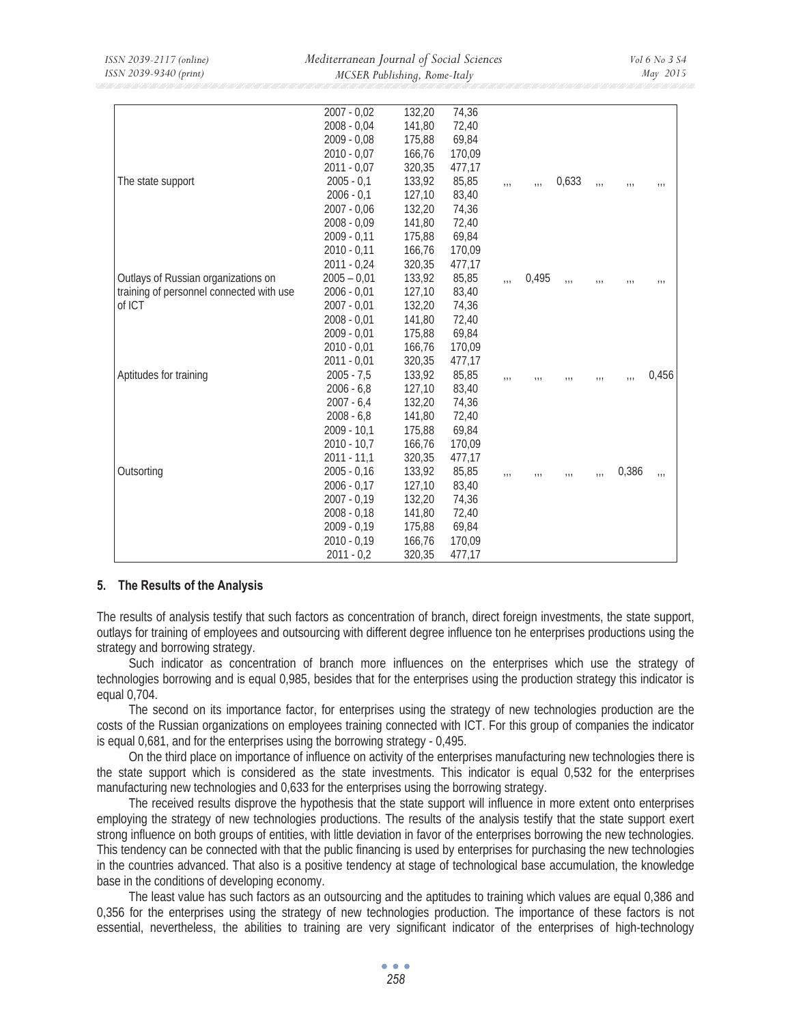| ISSN 2039-2117 (online)<br>ISSN 2039-9340 (print) | Mediterranean Journal of Social Sciences<br>MCSER Publishing, Rome-Italy |        |        |                  |       |       |     | Vol 6 No 3 S4<br>May 2015 |       |
|---------------------------------------------------|--------------------------------------------------------------------------|--------|--------|------------------|-------|-------|-----|---------------------------|-------|
|                                                   | $2007 - 0.02$                                                            | 132,20 | 74,36  |                  |       |       |     |                           |       |
|                                                   | $2008 - 0.04$                                                            | 141,80 | 72,40  |                  |       |       |     |                           |       |
|                                                   | $2009 - 0.08$                                                            | 175,88 | 69,84  |                  |       |       |     |                           |       |
|                                                   | $2010 - 0.07$                                                            | 166,76 | 170,09 |                  |       |       |     |                           |       |
|                                                   | $2011 - 0.07$                                                            | 320,35 | 477,17 |                  |       |       |     |                           |       |
| The state support                                 | $2005 - 0.1$                                                             | 133,92 | 85,85  | $\frac{1}{2}$    | 111   | 0,633 | 111 | 111                       | 111   |
|                                                   | $2006 - 0,1$                                                             | 127,10 | 83,40  |                  |       |       |     |                           |       |
|                                                   | $2007 - 0.06$                                                            | 132,20 | 74,36  |                  |       |       |     |                           |       |
|                                                   | $2008 - 0,09$                                                            | 141,80 | 72,40  |                  |       |       |     |                           |       |
|                                                   | $2009 - 0,11$                                                            | 175,88 | 69,84  |                  |       |       |     |                           |       |
|                                                   | $2010 - 0,11$                                                            | 166,76 | 170,09 |                  |       |       |     |                           |       |
|                                                   | $2011 - 0.24$                                                            | 320,35 | 477,17 |                  |       |       |     |                           |       |
| Outlays of Russian organizations on               | $2005 - 0.01$                                                            | 133,92 | 85,85  | $\overline{111}$ | 0,495 | 111   | 111 | 111                       | 111   |
| training of personnel connected with use          | $2006 - 0.01$                                                            | 127,10 | 83,40  |                  |       |       |     |                           |       |
| of ICT                                            | $2007 - 0.01$                                                            | 132,20 | 74,36  |                  |       |       |     |                           |       |
|                                                   | $2008 - 0.01$                                                            | 141,80 | 72,40  |                  |       |       |     |                           |       |
|                                                   | $2009 - 0.01$                                                            | 175,88 | 69,84  |                  |       |       |     |                           |       |
|                                                   | $2010 - 0,01$                                                            | 166,76 | 170,09 |                  |       |       |     |                           |       |
|                                                   | $2011 - 0.01$                                                            | 320,35 | 477,17 |                  |       |       |     |                           |       |
| Aptitudes for training                            | $2005 - 7.5$                                                             | 133,92 | 85,85  | 111              | 111   | 111   | 111 | 111                       | 0,456 |
|                                                   | $2006 - 6,8$                                                             | 127,10 | 83,40  |                  |       |       |     |                           |       |
|                                                   | $2007 - 6,4$                                                             | 132,20 | 74,36  |                  |       |       |     |                           |       |
|                                                   | $2008 - 6,8$                                                             | 141,80 | 72,40  |                  |       |       |     |                           |       |
|                                                   | 2009 - 10,1                                                              | 175,88 | 69,84  |                  |       |       |     |                           |       |
|                                                   | $2010 - 10,7$                                                            | 166,76 | 170,09 |                  |       |       |     |                           |       |
|                                                   | $2011 - 11,1$                                                            | 320,35 | 477,17 |                  |       |       |     |                           |       |
| Outsorting                                        | $2005 - 0.16$                                                            | 133,92 | 85,85  | 111              | 111   | 111   | 111 | 0,386                     | 111   |
|                                                   | $2006 - 0.17$                                                            | 127,10 | 83,40  |                  |       |       |     |                           |       |
|                                                   | 2007 - 0,19                                                              | 132,20 | 74,36  |                  |       |       |     |                           |       |
|                                                   | $2008 - 0,18$                                                            | 141,80 | 72,40  |                  |       |       |     |                           |       |

## **5. The Results of the Analysis**

The results of analysis testify that such factors as concentration of branch, direct foreign investments, the state support, outlays for training of employees and outsourcing with different degree influence ton he enterprises productions using the strategy and borrowing strategy.

175,88 69,84 166,76 170,09<br>320,35 477,17 477,17

2009 - 0,19 2010 - 0,19 2011 - 0,2

Such indicator as concentration of branch more influences on the enterprises which use the strategy of technologies borrowing and is equal 0,985, besides that for the enterprises using the production strategy this indicator is equal 0,704.

The second on its importance factor, for enterprises using the strategy of new technologies production are the costs of the Russian organizations on employees training connected with ICT. For this group of companies the indicator is equal 0,681, and for the enterprises using the borrowing strategy - 0,495.

On the third place on importance of influence on activity of the enterprises manufacturing new technologies there is the state support which is considered as the state investments. This indicator is equal 0,532 for the enterprises manufacturing new technologies and 0,633 for the enterprises using the borrowing strategy.

The received results disprove the hypothesis that the state support will influence in more extent onto enterprises employing the strategy of new technologies productions. The results of the analysis testify that the state support exert strong influence on both groups of entities, with little deviation in favor of the enterprises borrowing the new technologies. This tendency can be connected with that the public financing is used by enterprises for purchasing the new technologies in the countries advanced. That also is a positive tendency at stage of technological base accumulation, the knowledge base in the conditions of developing economy.

The least value has such factors as an outsourcing and the aptitudes to training which values are equal 0,386 and 0,356 for the enterprises using the strategy of new technologies production. The importance of these factors is not essential, nevertheless, the abilities to training are very significant indicator of the enterprises of high-technology